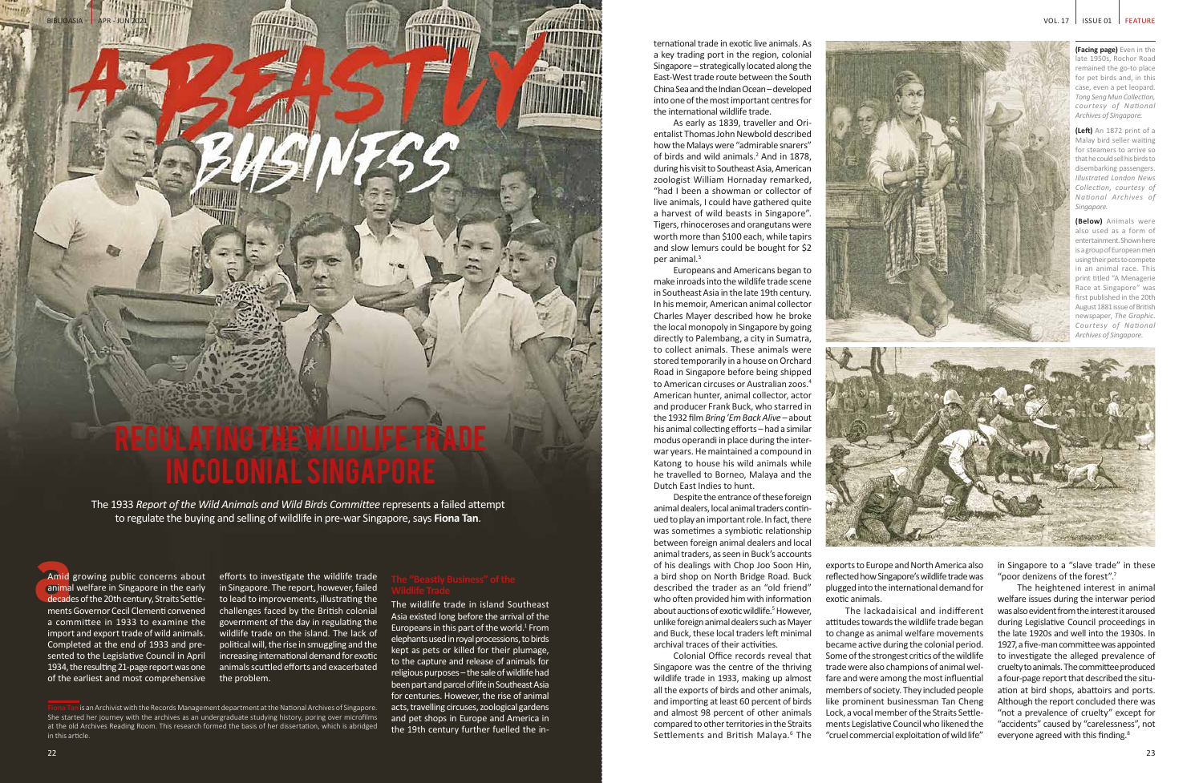# NG THE WILDLIFE TR in Colonial Singapore

**MIGHT** 

1914 11 11 M

The 1933 *Report of the Wild Animals and Wild Birds Committee* represents a failed attempt to regulate the buying and selling of wildlife in pre-war Singapore, says **Fiona Tan**.

Amid<br>
animal<br>
decade<br>
ments Amid growing public concerns about animal welfare in Singapore in the early decades of the 20th century, Straits Settlements Governor Cecil Clementi convened a committee in 1933 to examine the import and export trade of wild animals. Completed at the end of 1933 and presented to the Legislative Council in April 1934, the resulting 21-page report was one of the earliest and most comprehensive

BIBLIOASIA | APR - JUN 2021

短眼

**(Facing page)** Even in the late 1950s, Rochor Road remained the go-to place for pet birds and, in this case, even a pet leopard. *Tong Seng Mun Collection, courtesy of National Archives of Singapore.*

The heightened interest in animal welfare issues during the interwar period was also evident from the interest it aroused during Legislative Council proceedings in the late 1920s and well into the 1930s. In 1927, a five-man committee was appointed to investigate the alleged prevalence of cruelty to animals. The committee produced a four-page report that described the situation at bird shops, abattoirs and ports. Although the report concluded there was "not a prevalence of cruelty" except for "accidents" caused by "carelessness", not everyone agreed with this finding.<sup>8</sup>

**(Left)** An 1872 print of a Malay bird seller waiting for steamers to arrive so that he could sell his birds to disembarking passengers. *Illustrated London News Collection, courtesy of National Archives of Singapore.*

**(Below)** Animals were also used as a form of entertainment. Shown here is a group of European men using their pets to compete in an animal race. This print titled "A Menagerie Race at Singapore" was first published in the 20th August 1881 issue of British newspaper, *The Graphic*. *Courtesy of National Archives of Singapore.*



exports to Europe and North America also reflected how Singapore's wildlife trade was plugged into the international demand for exotic animals.

The lackadaisical and indifferent attitudes towards the wildlife trade began to change as animal welfare movements became active during the colonial period. Some of the strongest critics of the wildlife trade were also champions of animal welfare and were among the most influential members of society. They included people like prominent businessman Tan Cheng Lock, a vocal member of the Straits Settlements Legislative Council who likened the "cruel commercial exploitation of wild life"

in Singapore to a "slave trade" in these "poor denizens of the forest".7

Colonial Office records reveal that Singapore was the centre of the thriving wildlife trade in 1933, making up almost all the exports of birds and other animals, and importing at least 60 percent of birds and almost 98 percent of other animals compared to other territories in the Straits Settlements and British Malaya.<sup>6</sup> The

efforts to investigate the wildlife trade in Singapore. The report, however, failed to lead to improvements, illustrating the challenges faced by the British colonial government of the day in regulating the wildlife trade on the island. The lack of political will, the rise in smuggling and the increasing international demand for exotic animals scuttled efforts and exacerbated the problem.

The wildlife trade in island Southeast Asia existed long before the arrival of the Europeans in this part of the world. $1$  From elephants used in royal processions, to birds kept as pets or killed for their plumage, to the capture and release of animals for religious purposes – the sale of wildlife had been part and parcel of life in Southeast Asia for centuries. However, the rise of animal acts, travelling circuses, zoological gardens and pet shops in Europe and America in the 19th century further fuelled the international trade in exotic live animals. As a key trading port in the region, colonial Singapore – strategically located along the East-West trade route between the South China Sea and the Indian Ocean – developed into one of the most important centres for the international wildlife trade.

As early as 1839, traveller and Orientalist Thomas John Newbold described how the Malays were "admirable snarers" of birds and wild animals.<sup>2</sup> And in 1878, during his visit to Southeast Asia, American zoologist William Hornaday remarked, "had I been a showman or collector of live animals, I could have gathered quite a harvest of wild beasts in Singapore". Tigers, rhinoceroses and orangutans were worth more than \$100 each, while tapirs and slow lemurs could be bought for \$2 per animal.3

Europeans and Americans began to make inroads into the wildlife trade scene in Southeast Asia in the late 19th century. In his memoir, American animal collector Charles Mayer described how he broke the local monopoly in Singapore by going directly to Palembang, a city in Sumatra, to collect animals. These animals were stored temporarily in a house on Orchard Road in Singapore before being shipped to American circuses or Australian zoos.<sup>4</sup> American hunter, animal collector, actor and producer Frank Buck, who starred in the 1932 film *Bring* '*Em Back Alive* – about his animal collecting efforts – had a similar modus operandi in place during the interwar years. He maintained a compound in Katong to house his wild animals while he travelled to Borneo, Malaya and the Dutch East Indies to hunt.

Despite the entrance of these foreign animal dealers, local animal traders continued to play an important role. In fact, there was sometimes a symbiotic relationship between foreign animal dealers and local animal traders, as seen in Buck's accounts of his dealings with Chop Joo Soon Hin, a bird shop on North Bridge Road. Buck described the trader as an "old friend" who often provided him with information about auctions of exotic wildlife.<sup>5</sup> However, unlike foreign animal dealers such as Mayer and Buck, these local traders left minimal archival traces of their activities.



**Fiona Tan** is an Archivist with the Records Management department at the National Archives of Singapore. She started her journey with the archives as an undergraduate studying history, poring over microfilms at the old Archives Reading Room. This research formed the basis of her dissertation, which is abridged in this article.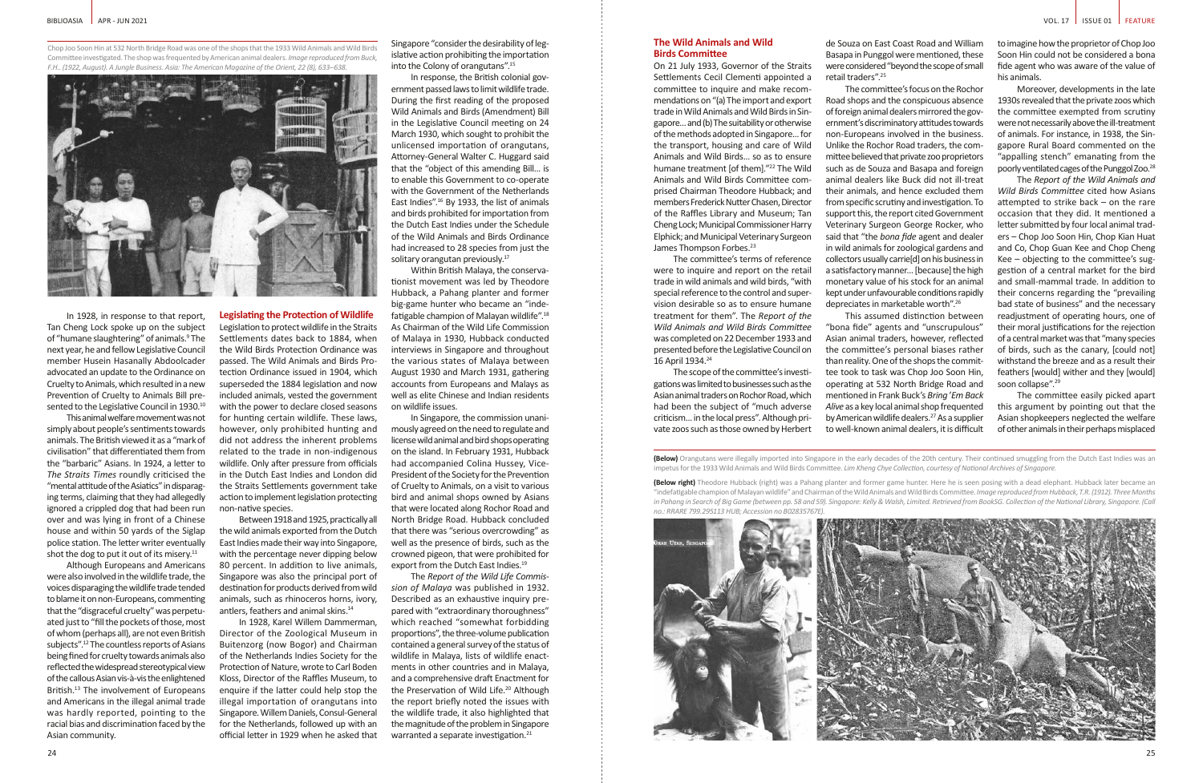This animal welfare movement was not simply about people's sentiments towards animals. The British viewed it as a "mark of civilisation" that differentiated them from the "barbaric" Asians. In 1924, a letter to *The Straits Times* roundly criticised the "mental attitude of the Asiatics" in disparaging terms, claiming that they had allegedly ignored a crippled dog that had been run over and was lying in front of a Chinese house and within 50 yards of the Siglap police station. The letter writer eventually shot the dog to put it out of its misery.<sup>11</sup>

non-native species. Between 1918 and 1925, practically all the wild animals exported from the Dutch East Indies made their way into Singapore, with the percentage never dipping below 80 percent. In addition to live animals, Singapore was also the principal port of destination for products derived from wild animals, such as rhinoceros horns, ivory, antlers, feathers and animal skins.<sup>14</sup>

Although Europeans and Americans were also involved in the wildlife trade, the voices disparaging the wildlife trade tended to blame it on non-Europeans, commenting that the "disgraceful cruelty" was perpetuated just to "fill the pockets of those, most of whom (perhaps all), are not even British subjects".12 The countless reports of Asians being fined for cruelty towards animals also reflected the widespread stereotypical view of the callous Asian vis-à-vis the enlightened British.<sup>13</sup> The involvement of Europeans and Americans in the illegal animal trade was hardly reported, pointing to the racial bias and discrimination faced by the Asian community.

In response, the British colonial government passed laws to limit wildlife trade. During the first reading of the proposed Wild Animals and Birds (Amendment) Bill in the Legislative Council meeting on 24 March 1930, which sought to prohibit the unlicensed importation of orangutans, Attorney-General Walter C. Huggard said that the "object of this amending Bill… is to enable this Government to co-operate with the Government of the Netherlands East Indies".16 By 1933, the list of animals and birds prohibited for importation from the Dutch East Indies under the Schedule of the Wild Animals and Birds Ordinance had increased to 28 species from just the solitary orangutan previously.<sup>17</sup>

**Legislating the Protection of Wildlife** Legislation to protect wildlife in the Straits Settlements dates back to 1884, when the Wild Birds Protection Ordinance was passed. The Wild Animals and Birds Protection Ordinance issued in 1904, which superseded the 1884 legislation and now included animals, vested the government with the power to declare closed seasons for hunting certain wildlife. These laws, however, only prohibited hunting and did not address the inherent problems related to the trade in non-indigenous wildlife. Only after pressure from officials in the Dutch East Indies and London did the Straits Settlements government take

In Singapore, the commission unanimously agreed on the need to regulate and license wild animal and bird shops operating on the island. In February 1931, Hubback had accompanied Colina Hussey, Vice-President of the Society for the Prevention of Cruelty to Animals, on a visit to various bird and animal shops owned by Asians that were located along Rochor Road and North Bridge Road. Hubback concluded that there was "serious overcrowding" as well as the presence of birds, such as the crowned pigeon, that were prohibited for export from the Dutch East Indies.<sup>19</sup>

action to implement legislation protecting

The *Report of the Wild Life Commission of Malaya* was published in 1932. Described as an exhaustive inquiry prepared with "extraordinary thoroughness" which reached "somewhat forbidding proportions", the three-volume publication contained a general survey of the status of wildlife in Malaya, lists of wildlife enactments in other countries and in Malaya, and a comprehensive draft Enactment for the Preservation of Wild Life.<sup>20</sup> Although the report briefly noted the issues with the wildlife trade, it also highlighted that the magnitude of the problem in Singapore warranted a separate investigation. $21$ 

On 21 July 1933, Governor of the Straits Settlements Cecil Clementi appointed a committee to inquire and make recommendations on "(a) The import and export trade in Wild Animals and Wild Birds in Singapore… and (b) The suitability or otherwise of the methods adopted in Singapore… for the transport, housing and care of Wild Animals and Wild Birds… so as to ensure humane treatment [of them]."<sup>22</sup> The Wild Animals and Wild Birds Committee comprised Chairman Theodore Hubback; and members Frederick Nutter Chasen, Director of the Raffles Library and Museum; Tan Cheng Lock; Municipal Commissioner Harry Elphick; and Municipal Veterinary Surgeon James Thompson Forbes.<sup>23</sup>

In 1928, Karel Willem Dammerman, Director of the Zoological Museum in Buitenzorg (now Bogor) and Chairman of the Netherlands Indies Society for the Protection of Nature, wrote to Carl Boden Kloss, Director of the Raffles Museum, to enquire if the latter could help stop the illegal importation of orangutans into Singapore. Willem Daniels, Consul-General for the Netherlands, followed up with an official letter in 1929 when he asked that

Singapore "consider the desirability of legislative action prohibiting the importation into the Colony of orangutans".<sup>15</sup>

> **(Below right)** Theodore Hubback (right) was a Pahang planter and former game hunter. Here he is seen posing with a dead elephant. Hubback later became an "indefatigable champion of Malayan wildlife" and Chairman of the Wild Animals and Wild Birds Committee. *Image reproduced from Hubback, T.R. (1912). Three Months*  in Pahang in Search of Big Game (between pp. 58 and 59). Singapore: Kelly & Walsh, Limited. Retrieved from BookSG. Collection of the National Library, Singapore. (Cal *no.: RRARE 799.295113 HUB; Accession no B02835767E).*



Within British Malaya, the conservationist movement was led by Theodore Hubback, a Pahang planter and former big-game hunter who became an "indefatigable champion of Malayan wildlife".18 As Chairman of the Wild Life Commission of Malaya in 1930, Hubback conducted interviews in Singapore and throughout the various states of Malaya between August 1930 and March 1931, gathering accounts from Europeans and Malays as well as elite Chinese and Indian residents on wildlife issues.

The *Report of the Wild Animals and Wild Birds Committee* cited how Asians attempted to strike back – on the rare occasion that they did. It mentioned a letter submitted by four local animal traders – Chop Joo Soon Hin, Chop Kian Huat and Co, Chop Guan Kee and Chop Cheng Kee – objecting to the committee's suggestion of a central market for the bird and small-mammal trade. In addition to their concerns regarding the "prevailing bad state of business" and the necessary readjustment of operating hours, one of their moral justifications for the rejection of a central market was that "many species of birds, such as the canary, [could not] withstand the breeze and as a result their feathers [would] wither and they [would] soon collapse".<sup>29</sup>

### **The Wild Animals and Wild Birds Committee**

The committee's terms of reference were to inquire and report on the retail trade in wild animals and wild birds, "with special reference to the control and supervision desirable so as to ensure humane treatment for them". The *Report of the Wild Animals and Wild Birds Committee* was completed on 22 December 1933 and presented before the Legislative Council on 16 April 1934.24

The scope of the committee's investigations was limited to businesses such as the Asian animal traders on Rochor Road, which had been the subject of "much adverse criticism… in the local press". Although private zoos such as those owned by Herbert

Chop Joo Soon Hin at 532 North Bridge Road was one of the shops that the 1933 Wild Animals and Wild Birds Committee investigated. The shop was frequented by American animal dealers. *Image reproduced from Buck, F.H.. (1922, August). A Jungle Business. Asia: The American Magazine of the Orient, 22 (8), 633–638.*



In 1928, in response to that report, Tan Cheng Lock spoke up on the subject of "humane slaughtering" of animals.<sup>9</sup> The next year, he and fellow Legislative Council member Husein Hasanally Abdoolcader advocated an update to the Ordinance on Cruelty to Animals, which resulted in a new Prevention of Cruelty to Animals Bill presented to the Legislative Council in 1930.<sup>10</sup>

impetus for the 1933 Wild Animals and Wild Birds Committee. *Lim Kheng Chye Collection, courtesy of National Archives of Singapore.*

de Souza on East Coast Road and William Basapa in Punggol were mentioned, these were considered "beyond the scope of small retail traders".<sup>25</sup> The committee's focus on the Rochor

Road shops and the conspicuous absence of foreign animal dealers mirrored the government's discriminatory attitudes towards non-Europeans involved in the business. Unlike the Rochor Road traders, the committee believed that private zoo proprietors such as de Souza and Basapa and foreign animal dealers like Buck did not ill-treat their animals, and hence excluded them from specific scrutiny and investigation. To support this, the report cited Government Veterinary Surgeon George Rocker, who said that "the *bona fide* agent and dealer in wild animals for zoological gardens and collectors usually carrie[d] on his business in a satisfactory manner… [because] the high monetary value of his stock for an animal kept under unfavourable conditions rapidly depreciates in marketable worth".26

This assumed distinction between "bona fide" agents and "unscrupulous" Asian animal traders, however, reflected the committee's personal biases rather than reality. One of the shops the committee took to task was Chop Joo Soon Hin, operating at 532 North Bridge Road and mentioned in Frank Buck's *Bring* '*Em Back Alive* as a key local animal shop frequented by American wildlife dealers.<sup>27</sup> As a supplier to well-known animal dealers, it is difficult

to imagine how the proprietor of Chop Joo Soon Hin could not be considered a bona fide agent who was aware of the value of his animals.

Moreover, developments in the late 1930s revealed that the private zoos which the committee exempted from scrutiny were not necessarily above the ill-treatment of animals. For instance, in 1938, the Singapore Rural Board commented on the "appalling stench" emanating from the poorly ventilated cages of the Punggol Zoo.28

The committee easily picked apart this argument by pointing out that the Asian shopkeepers neglected the welfare of other animals in their perhaps misplaced

**<sup>(</sup>Below)** Orangutans were illegally imported into Singapore in the early decades of the 20th century. Their continued smuggling from the Dutch East Indies was an